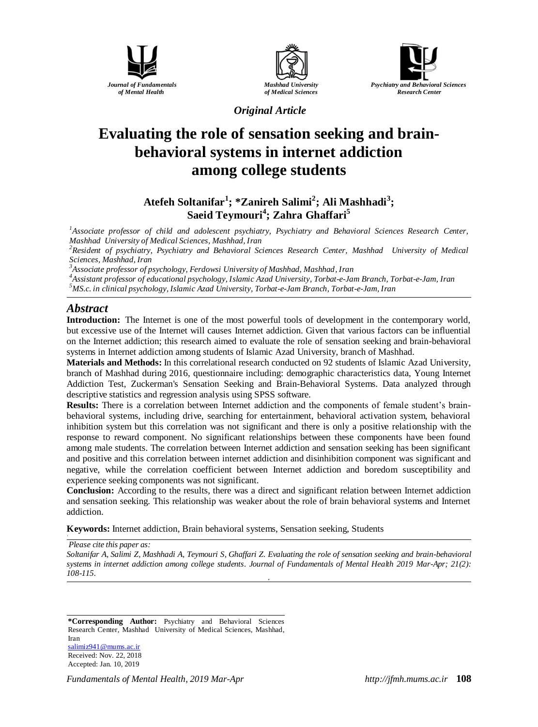





*Original Article*

# **Evaluating the role of [sensation seeking](https://www.noormags.ir/view/fa/keyword/Sensation_seeking) and brainbehavioral systems in internet addiction among college students**

## **Atefeh Soltanifar<sup>1</sup> ; \*Zanireh Salimi<sup>2</sup> ; Ali Mashhadi<sup>3</sup> ; Saeid Teymouri<sup>4</sup> ; Zahra Ghaffari<sup>5</sup>**

*<sup>1</sup>Associate professor of child and adolescent psychiatry, Psychiatry and Behavioral Sciences Research Center, Mashhad University of Medical Sciences, Mashhad, Iran*

*<sup>2</sup>Resident of psychiatry, Psychiatry and Behavioral Sciences Research Center, Mashhad University of Medical Sciences, Mashhad, Iran*

*<sup>3</sup>Associate professor of psychology, Ferdowsi University of Mashhad, Mashhad, Iran*

*<sup>4</sup>Assistant professor of educational psychology, Islamic Azad University, Torbat-e-Jam Branch, Torbat-e-Jam, Iran <sup>5</sup>MS.c. in clinical psychology, Islamic Azad University, Torbat-e-Jam Branch, Torbat-e-Jam, Iran*

## *Abstract*

**Introduction:** The Internet is one of the most powerful tools of development in the contemporary world, but excessive use of the Internet will causes Internet addiction. Given that various factors can be influential on the Internet addiction; this research aimed to evaluate the role of sensation seeking and brain-behavioral systems in Internet addiction among students of Islamic Azad University, branch of Mashhad.

**Materials and Methods:** In this correlational research conducted on 92 students of Islamic Azad University, branch of Mashhad during 2016, questionnaire including: demographic characteristics data, Young Internet Addiction Test, Zuckerman's Sensation Seeking and Brain-Behavioral Systems. Data analyzed through descriptive statistics and regression analysis using SPSS software.

**Results:** There is a correlation between Internet addiction and the components of female student's brainbehavioral systems, including drive, searching for entertainment, behavioral activation system, behavioral inhibition system but this correlation was not significant and there is only a positive relationship with the response to reward component. No significant relationships between these components have been found among male students. The correlation between Internet addiction and sensation seeking has been significant and positive and this correlation between internet addiction and disinhibition component was significant and negative, while the correlation coefficient between Internet addiction and boredom susceptibility and experience seeking components was not significant.

**Conclusion:** According to the results, there was a direct and significant relation between Internet addiction and sensation seeking. This relationship was weaker about the role of brain behavioral systems and Internet addiction.

**Keywords:** Internet addiction, Brain behavioral systems, Sensation seeking, Students

*Please cite this paper as:* 

*Soltanifar A, Salimi Z, Mashhadi A, Teymouri S, Ghaffari Z. Evaluating the role of [sensation seeking](https://www.noormags.ir/view/fa/keyword/Sensation_seeking) and brain-behavioral systems in internet addiction among college students. Journal of Fundamentals of Mental Health 2019 Mar-Apr; 21(2): 108-115. o*

**\*Corresponding Author:** Psychiatry and Behavioral Sciences Research Center, Mashhad University of Medical Sciences, Mashhad, Iran [salimiz941@mums.ac.ir](mailto:salimiz941@mums.ac.ir) Received: Nov. 22, 2018 Accepted: Jan. 10, 2019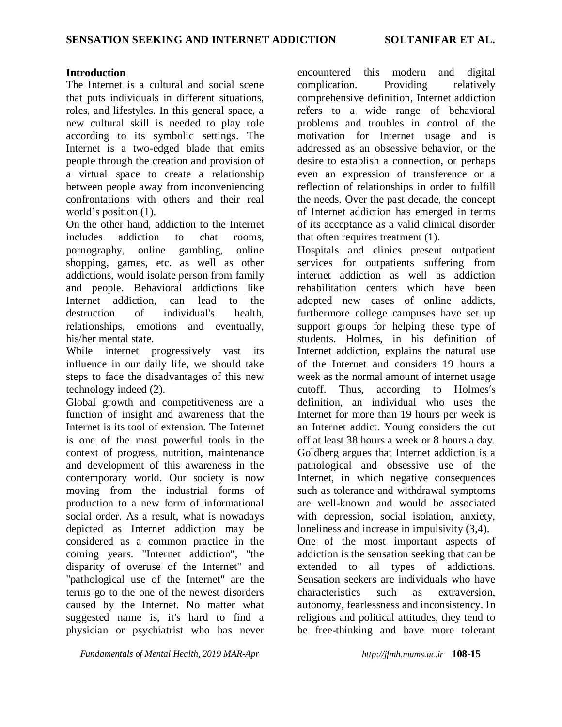## **Introduction**

The Internet is a cultural and social scene that puts individuals in different situations, roles, and lifestyles. In this general space, a new cultural skill is needed to play role according to its symbolic settings. The Internet is a two-edged blade that emits people through the creation and provision of a virtual space to create a relationship between people away from inconveniencing confrontations with others and their real world's position (1).

On the other hand, addiction to the Internet includes addiction to chat rooms, pornography, online gambling, online shopping, games, etc. as well as other addictions, would isolate person from family and people. Behavioral addictions like Internet addiction, can lead to the destruction of individual's health, relationships, emotions and eventually, his/her mental state.

While internet progressively vast its influence in our daily life, we should take steps to face the disadvantages of this new technology indeed (2).

Global growth and competitiveness are a function of insight and awareness that the Internet is its tool of extension. The Internet is one of the most powerful tools in the context of progress, nutrition, maintenance and development of this awareness in the contemporary world. Our society is now moving from the industrial forms of production to a new form of informational social order. As a result, what is nowadays depicted as Internet addiction may be considered as a common practice in the coming years. "Internet addiction", "the disparity of overuse of the Internet" and "pathological use of the Internet" are the terms go to the one of the newest disorders caused by the Internet. No matter what suggested name is, it's hard to find a physician or psychiatrist who has never

*Fundamentals of Mental Health, 2019 MAR-Apr http://jfmh.mums.ac.ir* **108-15**

encountered this modern and digital complication. Providing relatively comprehensive definition, Internet addiction refers to a wide range of behavioral problems and troubles in control of the motivation for Internet usage and is addressed as an obsessive behavior, or the desire to establish a connection, or perhaps even an expression of transference or a reflection of relationships in order to fulfill the needs. Over the past decade, the concept of Internet addiction has emerged in terms of its acceptance as a valid clinical disorder that often requires treatment (1).

Hospitals and clinics present outpatient services for outpatients suffering from internet addiction as well as addiction rehabilitation centers which have been adopted new cases of online addicts, furthermore college campuses have set up support groups for helping these type of students. Holmes, in his definition of Internet addiction, explains the natural use of the Internet and considers 19 hours a week as the normal amount of internet usage cutoff. Thus, according to Holmes′s definition, an individual who uses the Internet for more than 19 hours per week is an Internet addict. Young considers the cut off at least 38 hours a week or 8 hours a day. Goldberg argues that Internet addiction is a pathological and obsessive use of the Internet, in which negative consequences such as tolerance and withdrawal symptoms are well-known and would be associated with depression, social isolation, anxiety, loneliness and increase in impulsivity (3,4). One of the most important aspects of addiction is the sensation seeking that can be extended to all types of addictions. Sensation seekers are individuals who have characteristics such as extraversion, autonomy, fearlessness and inconsistency. In religious and political attitudes, they tend to be free-thinking and have more tolerant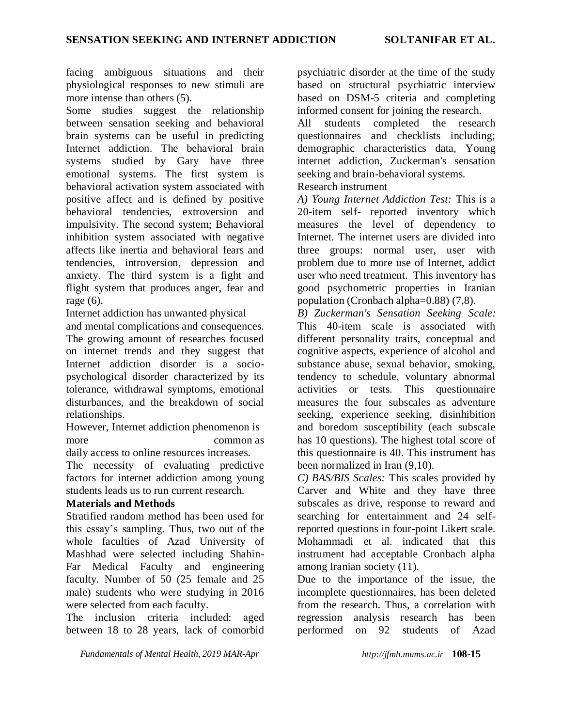facing ambiguous situations and their physiological responses to new stimuli are more intense than others (5).

Some studies suggest the relationship between sensation seeking and behavioral brain systems can be useful in predicting Internet addiction. The behavioral brain systems studied by Gary have three emotional systems. The first system is behavioral activation system associated with positive affect and is defined by positive behavioral tendencies, extroversion and impulsivity. The second system; Behavioral inhibition system associated with negative affects like inertia and behavioral fears and tendencies, introversion, depression and anxiety. The third system is a fight and flight system that produces anger, fear and rage (6).

Internet addiction has unwanted physical

and mental complications and consequences. The growing amount of researches focused on internet trends and they suggest that Internet addiction disorder is a sociopsychological disorder characterized by its tolerance, withdrawal symptoms, emotional disturbances, and the breakdown of social relationships.

However, Internet addiction phenomenon is more common as

daily access to online resources increases.

The necessity of evaluating predictive factors for internet addiction among young students leads us to run current research.

## **Materials and Methods**

Stratified random method has been used for this essay's sampling. Thus, two out of the whole faculties of Azad University of Mashhad were selected including Shahin-Far Medical Faculty and engineering faculty. Number of 50 (25 female and 25 male) students who were studying in 2016 were selected from each faculty.

The inclusion criteria included: aged between 18 to 28 years, lack of comorbid

psychiatric disorder at the time of the study based on structural psychiatric interview based on DSM-5 criteria and completing informed consent for joining the research.

All students completed the research questionnaires and checklists including; demographic characteristics data, Young internet addiction, Zuckerman's sensation seeking and brain-behavioral systems.

## Research instrument

*A) Young Internet Addiction Test:* This is a 20-item self- reported inventory which measures the level of dependency to Internet. The internet users are divided into three groups: normal user, user with problem due to more use of Internet, addict user who need treatment. This inventory has good psychometric properties in Iranian population (Cronbach alpha=0.88) (7,8).

*B) Zuckerman's Sensation Seeking Scale:*  This 40-item scale is associated with different personality traits, conceptual and cognitive aspects, experience of alcohol and substance abuse, sexual behavior, smoking, tendency to schedule, voluntary abnormal activities or tests. This questionnaire measures the four subscales as adventure seeking, experience seeking, disinhibition and boredom susceptibility (each subscale has 10 questions). The highest total score of this questionnaire is 40. This instrument has been normalized in Iran (9,10).

*C) BAS/BIS Scales:* This scales provided by Carver and White and they have three subscales as drive, response to reward and searching for entertainment and 24 selfreported questions in four-point Likert scale. Mohammadi et al. indicated that this instrument had acceptable Cronbach alpha among Iranian society (11).

Due to the importance of the issue, the incomplete questionnaires, has been deleted from the research. Thus, a correlation with regression analysis research has been performed on 92 students of Azad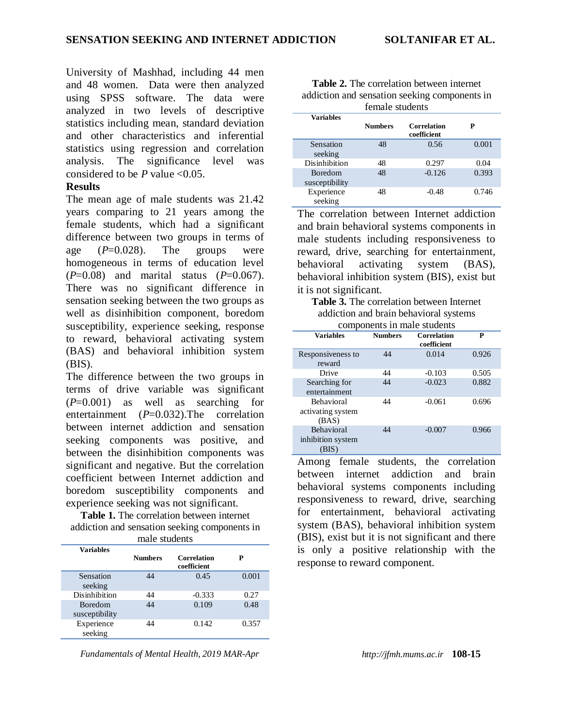University of Mashhad, including 44 men and 48 women. Data were then analyzed using SPSS software. The data were analyzed in two levels of descriptive statistics including mean, standard deviation and other characteristics and inferential statistics using regression and correlation analysis. The significance level was considered to be  $P$  value  $\leq 0.05$ .

### **Results**

The mean age of male students was 21.42 years comparing to 21 years among the female students, which had a significant difference between two groups in terms of age  $(P=0.028)$ . The groups were homogeneous in terms of education level (*P*=0.08) and marital status (*P*=0.067). There was no significant difference in sensation seeking between the two groups as well as disinhibition component, boredom susceptibility, experience seeking, response to reward, behavioral activating system (BAS) and behavioral inhibition system (BIS).

The difference between the two groups in terms of drive variable was significant (*P*=0.001) as well as searching for entertainment (*P*=0.032).The correlation between internet addiction and sensation seeking components was positive, and between the disinhibition components was significant and negative. But the correlation coefficient between Internet addiction and boredom susceptibility components and experience seeking was not significant.

**Table 1.** The correlation between internet addiction and sensation seeking components in male students

| maie students         |                |                                   |       |
|-----------------------|----------------|-----------------------------------|-------|
| <b>Variables</b>      |                |                                   |       |
|                       | <b>Numbers</b> | <b>Correlation</b><br>coefficient | P     |
| Sensation             | 44             | 0.45                              | 0.001 |
| seeking               |                |                                   |       |
| <b>Disinhibition</b>  | 44             | $-0.333$                          | 0.27  |
| <b>Boredom</b>        | 44             | 0.109                             | 0.48  |
| susceptibility        |                |                                   |       |
| Experience<br>seeking | 44             | 0.142                             | 0.357 |

**Table 2.** The correlation between internet addiction and sensation seeking components in female students

| <b>Variables</b> |                |                                   |       |
|------------------|----------------|-----------------------------------|-------|
|                  | <b>Numbers</b> | <b>Correlation</b><br>coefficient | P     |
| Sensation        | 48             | 0.56                              | 0.001 |
| seeking          |                |                                   |       |
| Disinhibition    | 48             | 0.297                             | 0.04  |
| <b>Boredom</b>   | 48             | $-0.126$                          | 0.393 |
| susceptibility   |                |                                   |       |
| Experience       | 48             | $-0.48$                           | 0.746 |
| seeking          |                |                                   |       |

The correlation between Internet addiction and brain behavioral systems components in male students including responsiveness to reward, drive, searching for entertainment, behavioral activating system (BAS), behavioral inhibition system (BIS), exist but it is not significant.

**Table 3.** The correlation between Internet addiction and brain behavioral systems components in male students

| components in male students                     |                |                                   |       |  |
|-------------------------------------------------|----------------|-----------------------------------|-------|--|
| <b>Variables</b>                                | <b>Numbers</b> | <b>Correlation</b><br>coefficient | P     |  |
| Responsiveness to<br>reward                     | 44             | 0.014                             | 0.926 |  |
| Drive                                           | 44             | $-0.103$                          | 0.505 |  |
| Searching for<br>entertainment                  | 44             | $-0.023$                          | 0.882 |  |
| <b>Behavioral</b><br>activating system<br>(BAS) | 44             | $-0.061$                          | 0.696 |  |
| <b>Behavioral</b><br>inhibition system<br>(BIS) | 44             | $-0.007$                          | 0.966 |  |

Among female students, the correlation between internet addiction and brain behavioral systems components including responsiveness to reward, drive, searching for entertainment, behavioral activating system (BAS), behavioral inhibition system (BIS), exist but it is not significant and there is only a positive relationship with the response to reward component.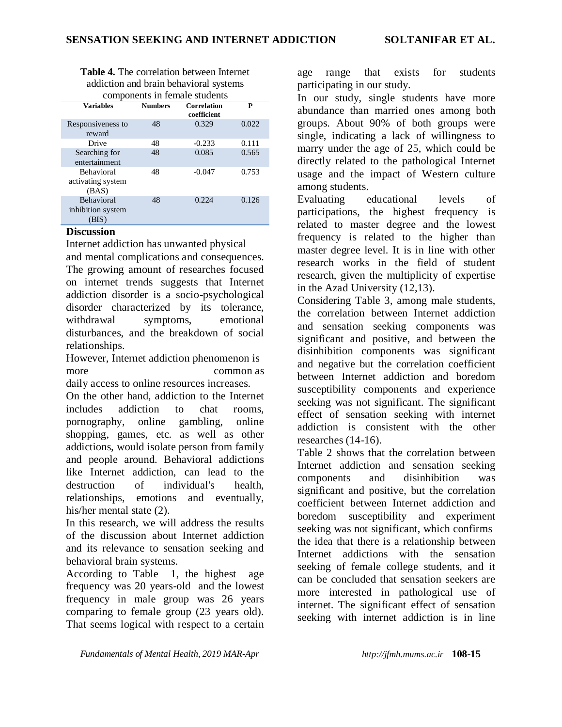| <b>Table 4.</b> The correlation between Internet |
|--------------------------------------------------|
| addiction and brain behavioral systems           |
| components in female students                    |

| components in remare students                   |                |                                   |       |  |
|-------------------------------------------------|----------------|-----------------------------------|-------|--|
| <b>Variables</b>                                | <b>Numbers</b> | <b>Correlation</b><br>coefficient | P     |  |
| Responsiveness to<br>reward                     | 48             | 0.329                             | 0.022 |  |
| Drive                                           | 48             | $-0.233$                          | 0.111 |  |
| Searching for<br>entertainment                  | 48             | 0.085                             | 0.565 |  |
| <b>Behavioral</b><br>activating system<br>(BAS) | 48             | $-0.047$                          | 0.753 |  |
| <b>Behavioral</b><br>inhibition system<br>(BIS  | 48             | 0.224                             | 0.126 |  |

#### **Discussion**

Internet addiction has unwanted physical and mental complications and consequences. The growing amount of researches focused on internet trends suggests that Internet addiction disorder is a socio-psychological disorder characterized by its tolerance, withdrawal symptoms, emotional disturbances, and the breakdown of social relationships.

However, Internet addiction phenomenon is more common as daily access to online resources increases.

On the other hand, addiction to the Internet includes addiction to chat rooms, pornography, online gambling, online shopping, games, etc. as well as other addictions, would isolate person from family and people around. Behavioral addictions like Internet addiction, can lead to the destruction of individual's health, relationships, emotions and eventually, his/her mental state (2).

In this research, we will address the results of the discussion about Internet addiction and its relevance to sensation seeking and behavioral brain systems.

According to Table 1, the highest age frequency was 20 years-old and the lowest frequency in male group was 26 years comparing to female group (23 years old). That seems logical with respect to a certain age range that exists for students participating in our study.

In our study, single students have more abundance than married ones among both groups. About 90% of both groups were single, indicating a lack of willingness to marry under the age of 25, which could be directly related to the pathological Internet usage and the impact of Western culture among students.

Evaluating educational levels of participations, the highest frequency is related to master degree and the lowest frequency is related to the higher than master degree level. It is in line with other research works in the field of student research, given the multiplicity of expertise in the Azad University (12,13).

Considering Table 3, among male students, the correlation between Internet addiction and sensation seeking components was significant and positive, and between the disinhibition components was significant and negative but the correlation coefficient between Internet addiction and boredom susceptibility components and experience seeking was not significant. The significant effect of sensation seeking with internet addiction is consistent with the other researches (14-16).

Table 2 shows that the correlation between Internet addiction and sensation seeking components and disinhibition was significant and positive, but the correlation coefficient between Internet addiction and boredom susceptibility and experiment seeking was not significant, which confirms the idea that there is a relationship between Internet addictions with the sensation seeking of female college students, and it can be concluded that sensation seekers are more interested in pathological use of internet. The significant effect of sensation seeking with internet addiction is in line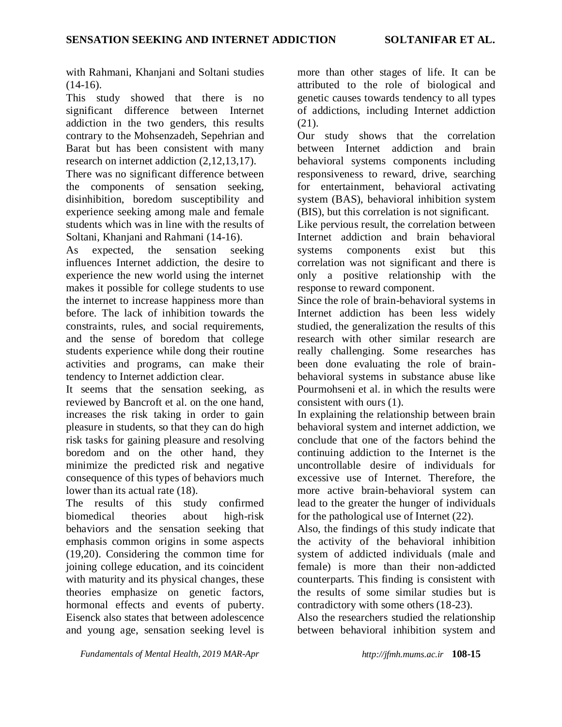with Rahmani, Khanjani and Soltani studies  $(14-16)$ .

This study showed that there is no significant difference between Internet addiction in the two genders, this results contrary to the Mohsenzadeh, Sepehrian and Barat but has been consistent with many research on internet addiction (2,12,13,17).

There was no significant difference between the components of sensation seeking, disinhibition, boredom susceptibility and experience seeking among male and female students which was in line with the results of Soltani, Khanjani and Rahmani (14-16).

As expected, the sensation seeking influences Internet addiction, the desire to experience the new world using the internet makes it possible for college students to use the internet to increase happiness more than before. The lack of inhibition towards the constraints, rules, and social requirements, and the sense of boredom that college students experience while dong their routine activities and programs, can make their tendency to Internet addiction clear.

It seems that the sensation seeking, as reviewed by Bancroft et al. on the one hand, increases the risk taking in order to gain pleasure in students, so that they can do high risk tasks for gaining pleasure and resolving boredom and on the other hand, they minimize the predicted risk and negative consequence of this types of behaviors much lower than its actual rate (18).

The results of this study confirmed biomedical theories about high-risk behaviors and the sensation seeking that emphasis common origins in some aspects (19,20). Considering the common time for joining college education, and its coincident with maturity and its physical changes, these theories emphasize on genetic factors, hormonal effects and events of puberty. Eisenck also states that between adolescence and young age, sensation seeking level is more than other stages of life. It can be attributed to the role of biological and genetic causes towards tendency to all types of addictions, including Internet addiction  $(21)$ .

Our study shows that the correlation between Internet addiction and brain behavioral systems components including responsiveness to reward, drive, searching for entertainment, behavioral activating system (BAS), behavioral inhibition system (BIS), but this correlation is not significant.

Like pervious result, the correlation between Internet addiction and brain behavioral systems components exist but this correlation was not significant and there is only a positive relationship with the response to reward component.

Since the role of brain-behavioral systems in Internet addiction has been less widely studied, the generalization the results of this research with other similar research are really challenging. Some researches has been done evaluating the role of brainbehavioral systems in substance abuse like Pourmohseni et al. in which the results were consistent with ours (1).

In explaining the relationship between brain behavioral system and internet addiction, we conclude that one of the factors behind the continuing addiction to the Internet is the uncontrollable desire of individuals for excessive use of Internet. Therefore, the more active brain-behavioral system can lead to the greater the hunger of individuals for the pathological use of Internet (22).

Also, the findings of this study indicate that the activity of the behavioral inhibition system of addicted individuals (male and female) is more than their non-addicted counterparts. This finding is consistent with the results of some similar studies but is contradictory with some others (18-23).

Also the researchers studied the relationship between behavioral inhibition system and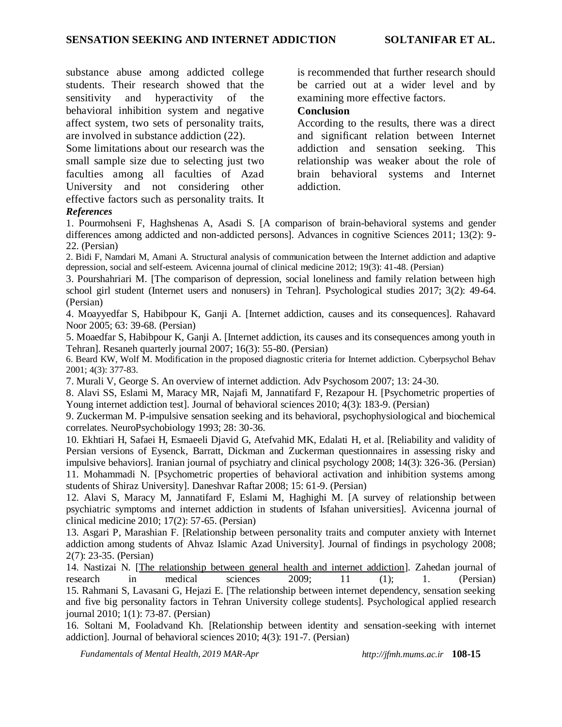substance abuse among addicted college students. Their research showed that the sensitivity and hyperactivity of the behavioral inhibition system and negative affect system, two sets of personality traits, are involved in substance addiction (22).

Some limitations about our research was the small sample size due to selecting just two faculties among all faculties of Azad University and not considering other effective factors such as personality traits. It *References*

is recommended that further research should be carried out at a wider level and by examining more effective factors.

#### **Conclusion**

According to the results, there was a direct and significant relation between Internet addiction and sensation seeking. This relationship was weaker about the role of brain behavioral systems and Internet addiction.

1. Pourmohseni F, Haghshenas A, Asadi S. [A comparison of brain-behavioral systems and gender differences among addicted and non-addicted persons]. Advances in cognitive Sciences 2011; 13(2): 9- 22. (Persian)

2. Bidi F, Namdari M, Amani A. Structural analysis of communication between the Internet addiction and adaptive depression, social and self-esteem. Avicenna journal of clinical medicine 2012; 19(3): 41-48. (Persian)

3. Pourshahriari M. [The comparison of depression, social loneliness and family relation between high school girl student (Internet users and nonusers) in Tehran]. Psychological studies 2017; 3(2): 49-64. (Persian)

4. Moayyedfar S, Habibpour K, Ganji A. [Internet addiction, causes and its consequences]. Rahavard Noor 2005; 63: 39-68. (Persian)

5. Moaedfar S, Habibpour K, Ganji A. [Internet addiction, its causes and its consequences among youth in Tehran]. Resaneh quarterly journal 2007; 16(3): 55-80. (Persian)

6. Beard KW, Wolf M. Modification in the proposed diagnostic criteria for Internet addiction. Cyberpsychol Behav 2001; 4(3): 377-83.

7. Murali V, George S. An overview of internet addiction. Adv Psychosom 2007; 13: 24-30.

8. Alavi SS, Eslami M, Maracy MR, Najafi M, Jannatifard F, Rezapour H. [Psychometric properties of Young internet addiction test]. Journal of behavioral sciences 2010; 4(3): 183-9. (Persian)

9. Zuckerman M. P-impulsive sensation seeking and its behavioral, psychophysiological and biochemical correlates. NeuroPsychobiology 1993; 28: 30-36.

10. Ekhtiari H, Safaei H, Esmaeeli Djavid G, Atefvahid MK, Edalati H, et al. [Reliability and validity of Persian versions of Eysenck, Barratt, Dickman and Zuckerman questionnaires in assessing risky and impulsive behaviors]. Iranian journal of psychiatry and clinical psychology 2008; 14(3): 326-36. (Persian) 11. Mohammadi N. [Psychometric properties of behavioral activation and inhibition systems among

students of Shiraz University]. Daneshvar Raftar 2008; 15: 61-9. (Persian)

12. Alavi S, Maracy M, Jannatifard F, Eslami M, Haghighi M. [A survey of relationship between psychiatric symptoms and internet addiction in students of Isfahan universities]. Avicenna journal of clinical medicine 2010; 17(2): 57-65. (Persian)

13. Asgari P, Marashian F. [Relationship between personality traits and computer anxiety with Internet addiction among students of Ahvaz Islamic Azad University]. Journal of findings in psychology 2008; 2(7): 23-35. (Persian)

14. Nastizai N. [\[The relationship between general health and internet addiction\]](http://zjrms.ir/article-1-404-en.pdf). Zahedan journal of research in medical sciences 2009; 11 (1); 1. (Persian) 15. Rahmani S, Lavasani G, Hejazi E. [The relationship between internet dependency, sensation seeking and five big personality factors in Tehran University college students]. Psychological applied research journal 2010; 1(1): 73-87. (Persian)

16. Soltani M, Fooladvand Kh. [Relationship between identity and sensation-seeking with internet addiction]. Journal of behavioral sciences 2010; 4(3): 191-7. (Persian)